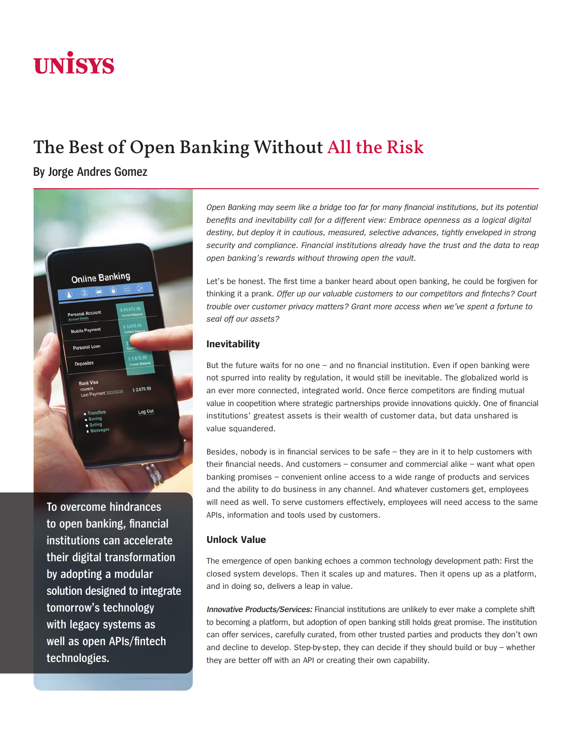# **UNISYS**

# The Best of Open Banking Without All the Risk

**By Jorge Andres Gomez**



**To overcome hindrances to open banking, financial institutions can accelerate their digital transformation by adopting a modular solution designed to integrate tomorrow's technology with legacy systems as well as open APIs/fintech technologies.** 

*Open Banking may seem like a bridge too far for many financial institutions, but its potential benefits and inevitability call for a different view: Embrace openness as a logical digital destiny, but deploy it in cautious, measured, selective advances, tightly enveloped in strong security and compliance. Financial institutions already have the trust and the data to reap open banking's rewards without throwing open the vault.*

Let's be honest. The first time a banker heard about open banking, he could be forgiven for thinking it a prank. *Offer up our valuable customers to our competitors and fintechs? Court trouble over customer privacy matters? Grant more access when we've spent a fortune to seal off our assets?*

## **Inevitability**

But the future waits for no one – and no financial institution. Even if open banking were not spurred into reality by regulation, it would still be inevitable. The globalized world is an ever more connected, integrated world. Once fierce competitors are finding mutual value in coopetition where strategic partnerships provide innovations quickly. One of financial institutions' greatest assets is their wealth of customer data, but data unshared is value squandered.

Besides, nobody is in financial services to be safe – they are in it to help customers with their financial needs. And customers – consumer and commercial alike – want what open banking promises – convenient online access to a wide range of products and services and the ability to do business in any channel. And whatever customers get, employees will need as well. To serve customers effectively, employees will need access to the same APIs, information and tools used by customers.

# **Unlock Value**

The emergence of open banking echoes a common technology development path: First the closed system develops. Then it scales up and matures. Then it opens up as a platform, and in doing so, delivers a leap in value.

**Innovative Products/Services:** Financial institutions are unlikely to ever make a complete shift to becoming a platform, but adoption of open banking still holds great promise. The institution can offer services, carefully curated, from other trusted parties and products they don't own and decline to develop. Step-by-step, they can decide if they should build or buy – whether they are better off with an API or creating their own capability.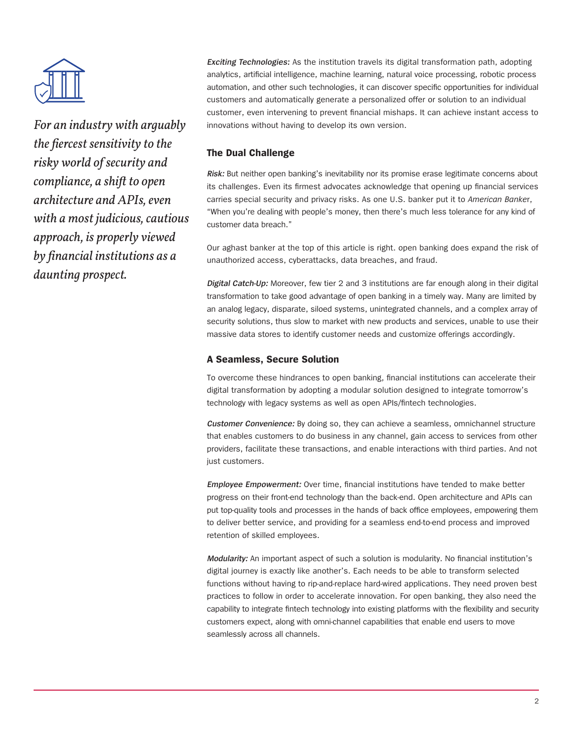

*For an industry with arguably the fiercest sensitivity to the risky world of security and compliance, a shift to open architecture and APIs, even with a most judicious, cautious approach, is properly viewed by financial institutions as a daunting prospect.* 

**Exciting Technologies:** As the institution travels its digital transformation path, adopting analytics, artificial intelligence, machine learning, natural voice processing, robotic process automation, and other such technologies, it can discover specific opportunities for individual customers and automatically generate a personalized offer or solution to an individual customer, even intervening to prevent financial mishaps. It can achieve instant access to innovations without having to develop its own version.

### **The Dual Challenge**

**Risk:** But neither open banking's inevitability nor its promise erase legitimate concerns about its challenges. Even its firmest advocates acknowledge that opening up financial services carries special security and privacy risks. As one U.S. banker put it to *American Banke*r, "When you're dealing with people's money, then there's much less tolerance for any kind of customer data breach."

Our aghast banker at the top of this article is right. open banking does expand the risk of unauthorized access, cyberattacks, data breaches, and fraud.

**Digital Catch-Up:** Moreover, few tier 2 and 3 institutions are far enough along in their digital transformation to take good advantage of open banking in a timely way. Many are limited by an analog legacy, disparate, siloed systems, unintegrated channels, and a complex array of security solutions, thus slow to market with new products and services, unable to use their massive data stores to identify customer needs and customize offerings accordingly.

#### **A Seamless, Secure Solution**

To overcome these hindrances to open banking, financial institutions can accelerate their digital transformation by adopting a modular solution designed to integrate tomorrow's technology with legacy systems as well as open APIs/fintech technologies.

**Customer Convenience:** By doing so, they can achieve a seamless, omnichannel structure that enables customers to do business in any channel, gain access to services from other providers, facilitate these transactions, and enable interactions with third parties. And not just customers.

**Employee Empowerment:** Over time, financial institutions have tended to make better progress on their front-end technology than the back-end. Open architecture and APIs can put top-quality tools and processes in the hands of back office employees, empowering them to deliver better service, and providing for a seamless end-to-end process and improved retention of skilled employees.

**Modularity:** An important aspect of such a solution is modularity. No financial institution's digital journey is exactly like another's. Each needs to be able to transform selected functions without having to rip-and-replace hard-wired applications. They need proven best practices to follow in order to accelerate innovation. For open banking, they also need the capability to integrate fintech technology into existing platforms with the flexibility and security customers expect, along with omni-channel capabilities that enable end users to move seamlessly across all channels.